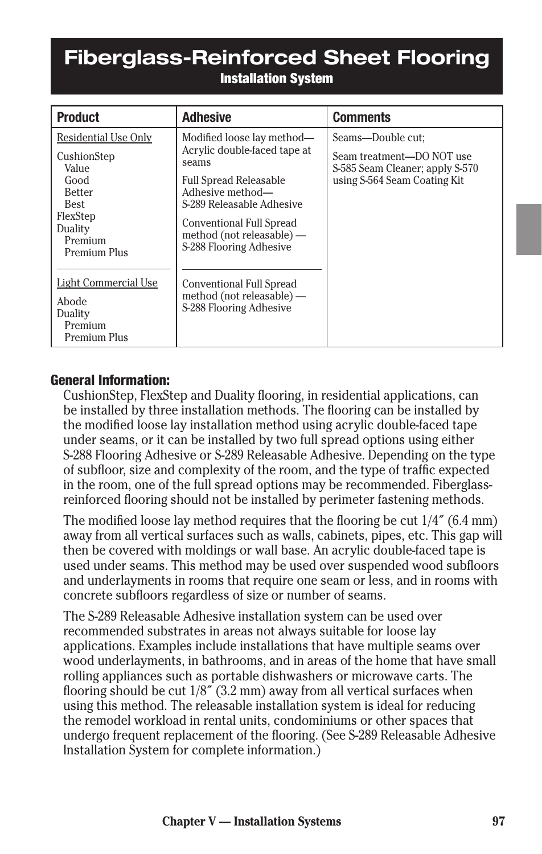# **Fiberglass-Reinforced Sheet Flooring**  Installation System

| <b>Product</b>                                                                                                                                                                 | <b>Adhesive</b>                                                                                                                                                                                                                                                                                                               | <b>Comments</b>                                                                                                   |
|--------------------------------------------------------------------------------------------------------------------------------------------------------------------------------|-------------------------------------------------------------------------------------------------------------------------------------------------------------------------------------------------------------------------------------------------------------------------------------------------------------------------------|-------------------------------------------------------------------------------------------------------------------|
| Residential Use Only<br>CushionStep<br>Value<br>Good<br><b>Better</b><br>Best<br>FlexStep<br>Duality<br>Premium<br><b>Premium Plus</b><br><b>Light Commercial Use</b><br>Abode | Modified loose lay method—<br>Acrylic double-faced tape at<br>seams<br><b>Full Spread Releasable</b><br>Adhesive method-<br>S-289 Releasable Adhesive<br>Conventional Full Spread<br>method (not releasable) —<br>S-288 Flooring Adhesive<br>Conventional Full Spread<br>method (not releasable) —<br>S-288 Flooring Adhesive | Seams-Double cut:<br>Seam treatment—DO NOT use<br>S-585 Seam Cleaner; apply S-570<br>using S-564 Seam Coating Kit |
| Duality<br>Premium<br><b>Premium Plus</b>                                                                                                                                      |                                                                                                                                                                                                                                                                                                                               |                                                                                                                   |

### General Information:

CushionStep, FlexStep and Duality flooring, in residential applications, can be installed by three installation methods. The flooring can be installed by the modified loose lay installation method using acrylic double-faced tape under seams, or it can be installed by two full spread options using either S-288 Flooring Adhesive or S-289 Releasable Adhesive. Depending on the type of subfloor, size and complexity of the room, and the type of traffic expected in the room, one of the full spread options may be recommended. Fiberglassreinforced flooring should not be installed by perimeter fastening methods.

The modified loose lay method requires that the flooring be cut 1/4˝ (6.4 mm) away from all vertical surfaces such as walls, cabinets, pipes, etc. This gap will then be covered with moldings or wall base. An acrylic double-faced tape is used under seams. This method may be used over suspended wood subfloors and underlayments in rooms that require one seam or less, and in rooms with concrete subfloors regardless of size or number of seams.

The S-289 Releasable Adhesive installation system can be used over recommended substrates in areas not always suitable for loose lay applications. Examples include installations that have multiple seams over wood underlayments, in bathrooms, and in areas of the home that have small rolling appliances such as portable dishwashers or microwave carts. The flooring should be cut 1/8˝ (3.2 mm) away from all vertical surfaces when using this method. The releasable installation system is ideal for reducing the remodel workload in rental units, condominiums or other spaces that undergo frequent replacement of the flooring. (See S-289 Releasable Adhesive Installation System for complete information.)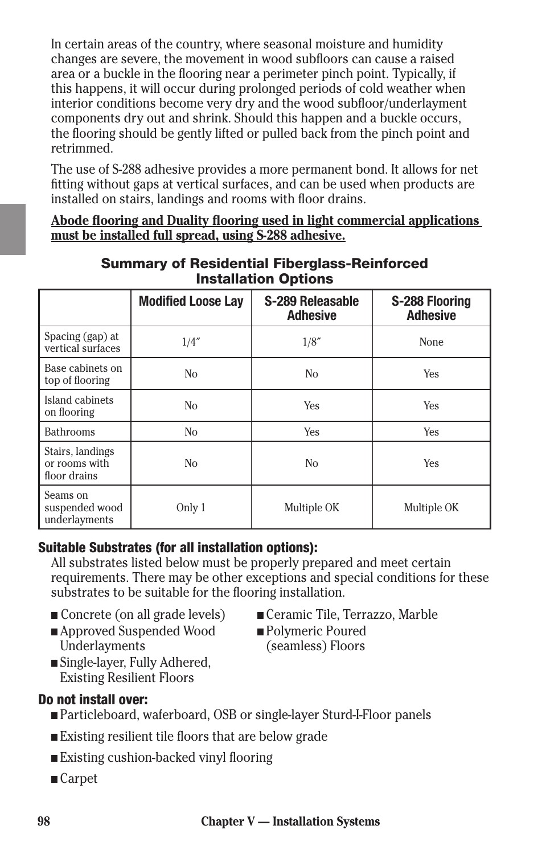In certain areas of the country, where seasonal moisture and humidity changes are severe, the movement in wood subfloors can cause a raised area or a buckle in the flooring near a perimeter pinch point. Typically, if this happens, it will occur during prolonged periods of cold weather when interior conditions become very dry and the wood subfloor/underlayment components dry out and shrink. Should this happen and a buckle occurs, the flooring should be gently lifted or pulled back from the pinch point and retrimmed.

The use of S-288 adhesive provides a more permanent bond. It allows for net fitting without gaps at vertical surfaces, and can be used when products are installed on stairs, landings and rooms with floor drains.

**Abode flooring and Duality flooring used in light commercial applications must be installed full spread, using S-288 adhesive.**

|                                                   | <b>Modified Loose Lay</b> | S-289 Releasable<br><b>Adhesive</b> | <b>S-288 Flooring</b><br><b>Adhesive</b> |  |
|---------------------------------------------------|---------------------------|-------------------------------------|------------------------------------------|--|
| Spacing (gap) at<br>vertical surfaces             | 1/4''                     | 1/8''                               | None                                     |  |
| Base cabinets on<br>top of flooring               | N <sub>o</sub>            | N <sub>o</sub>                      | Yes                                      |  |
| Island cabinets<br>on flooring                    | N <sub>0</sub>            | Yes                                 | <b>Yes</b>                               |  |
| <b>Bathrooms</b>                                  | N <sub>o</sub>            | Yes                                 | Yes                                      |  |
| Stairs, landings<br>or rooms with<br>floor drains | No                        | N <sub>o</sub>                      | <b>Yes</b>                               |  |
| Seams on<br>suspended wood<br>underlayments       | Only 1                    | Multiple OK                         | Multiple OK                              |  |

## Summary of Residential Fiberglass-Reinforced Installation Options

## Suitable Substrates (for all installation options):

All substrates listed below must be properly prepared and meet certain requirements. There may be other exceptions and special conditions for these substrates to be suitable for the flooring installation.

- 
- Approved Suspended Wood Underlayments
- n Concrete (on all grade levels) n Ceramic Tile, Terrazzo, Marble
	- Polymeric Poured (seamless) Floors
- Single-layer, Fully Adhered, Existing Resilient Floors

## Do not install over:

- n Particleboard, waferboard, OSB or single-layer Sturd-I-Floor panels
- n Existing resilient tile floors that are below grade
- n Existing cushion-backed vinyl flooring
- Carpet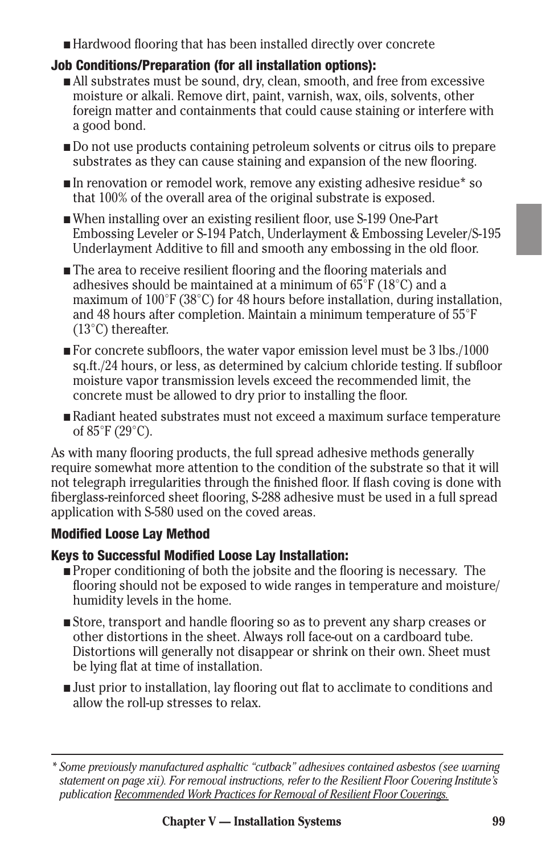n Hardwood flooring that has been installed directly over concrete

# Job Conditions/Preparation (for all installation options):

- n All substrates must be sound, dry, clean, smooth, and free from excessive moisture or alkali. Remove dirt, paint, varnish, wax, oils, solvents, other foreign matter and containments that could cause staining or interfere with a good bond.
- n Do not use products containing petroleum solvents or citrus oils to prepare substrates as they can cause staining and expansion of the new flooring.
- n In renovation or remodel work, remove any existing adhesive residue\* so that 100% of the overall area of the original substrate is exposed.
- n When installing over an existing resilient floor, use S-199 One-Part Embossing Leveler or S-194 Patch, Underlayment & Embossing Leveler/S-195 Underlayment Additive to fill and smooth any embossing in the old floor.
- $\blacksquare$  The area to receive resilient flooring and the flooring materials and adhesives should be maintained at a minimum of  $65^{\circ}F(18^{\circ}C)$  and a maximum of 100°F (38°C) for 48 hours before installation, during installation, and 48 hours after completion. Maintain a minimum temperature of 55°F (13°C) thereafter.
- $\blacksquare$  For concrete subfloors, the water vapor emission level must be 3 lbs./1000 sq.ft./24 hours, or less, as determined by calcium chloride testing. If subfloor moisture vapor transmission levels exceed the recommended limit, the concrete must be allowed to dry prior to installing the floor.
- n Radiant heated substrates must not exceed a maximum surface temperature of 85°F (29°C).

As with many flooring products, the full spread adhesive methods generally require somewhat more attention to the condition of the substrate so that it will not telegraph irregularities through the finished floor. If flash coving is done with fiberglass-reinforced sheet flooring, S-288 adhesive must be used in a full spread application with S-580 used on the coved areas.

# Modified Loose Lay Method

## Keys to Successful Modified Loose Lay Installation:

- $\blacksquare$  Proper conditioning of both the jobsite and the flooring is necessary. The flooring should not be exposed to wide ranges in temperature and moisture/ humidity levels in the home.
- n Store, transport and handle flooring so as to prevent any sharp creases or other distortions in the sheet. Always roll face-out on a cardboard tube. Distortions will generally not disappear or shrink on their own. Sheet must be lying flat at time of installation.
- n Just prior to installation, lay flooring out flat to acclimate to conditions and allow the roll-up stresses to relax.

*<sup>\*</sup> Some previously manufactured asphaltic "cutback" adhesives contained asbestos (see warning statement on page xii). For removal instructions, refer to the Resilient Floor Covering Institute's publication Recommended Work Practices for Removal of Resilient Floor Coverings.*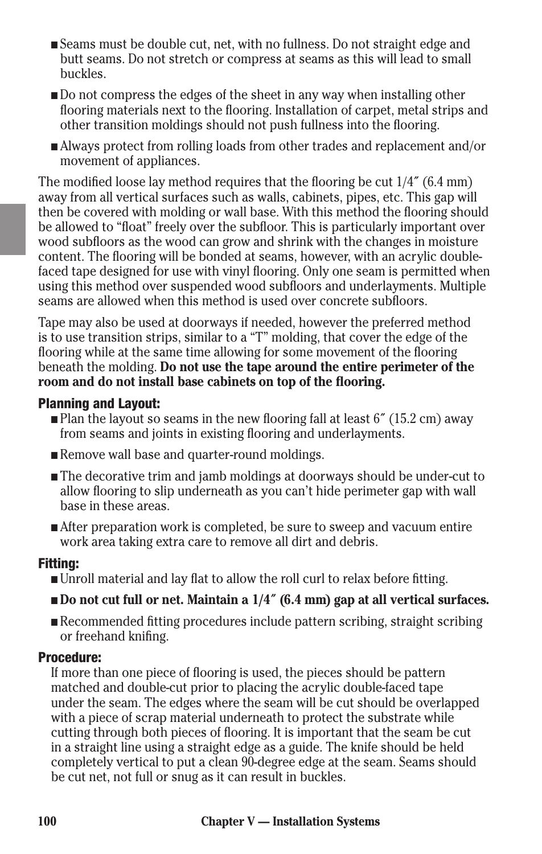- n Seams must be double cut, net, with no fullness. Do not straight edge and butt seams. Do not stretch or compress at seams as this will lead to small buckles.
- Do not compress the edges of the sheet in any way when installing other flooring materials next to the flooring. Installation of carpet, metal strips and other transition moldings should not push fullness into the flooring.
- n Always protect from rolling loads from other trades and replacement and/or movement of appliances.

The modified loose lay method requires that the flooring be cut 1/4˝ (6.4 mm) away from all vertical surfaces such as walls, cabinets, pipes, etc. This gap will then be covered with molding or wall base. With this method the flooring should be allowed to "float" freely over the subfloor. This is particularly important over wood subfloors as the wood can grow and shrink with the changes in moisture content. The flooring will be bonded at seams, however, with an acrylic doublefaced tape designed for use with vinyl flooring. Only one seam is permitted when using this method over suspended wood subfloors and underlayments. Multiple seams are allowed when this method is used over concrete subfloors.

Tape may also be used at doorways if needed, however the preferred method is to use transition strips, similar to a "T" molding, that cover the edge of the flooring while at the same time allowing for some movement of the flooring beneath the molding. **Do not use the tape around the entire perimeter of the room and do not install base cabinets on top of the flooring.**

### Planning and Layout:

- $\blacksquare$  Plan the layout so seams in the new flooring fall at least 6" (15.2 cm) away from seams and joints in existing flooring and underlayments.
- Remove wall base and quarter-round moldings.
- The decorative trim and jamb moldings at doorways should be under-cut to allow flooring to slip underneath as you can't hide perimeter gap with wall base in these areas.
- After preparation work is completed, be sure to sweep and vacuum entire work area taking extra care to remove all dirt and debris.

#### Fitting:

n Unroll material and lay flat to allow the roll curl to relax before fitting.

### ■ **Do not cut full or net. Maintain a 1/4<sup>"</sup> (6.4 mm) gap at all vertical surfaces.**

n Recommended fitting procedures include pattern scribing, straight scribing or freehand knifing.

#### Procedure:

If more than one piece of flooring is used, the pieces should be pattern matched and double-cut prior to placing the acrylic double-faced tape under the seam. The edges where the seam will be cut should be overlapped with a piece of scrap material underneath to protect the substrate while cutting through both pieces of flooring. It is important that the seam be cut in a straight line using a straight edge as a guide. The knife should be held completely vertical to put a clean 90-degree edge at the seam. Seams should be cut net, not full or snug as it can result in buckles.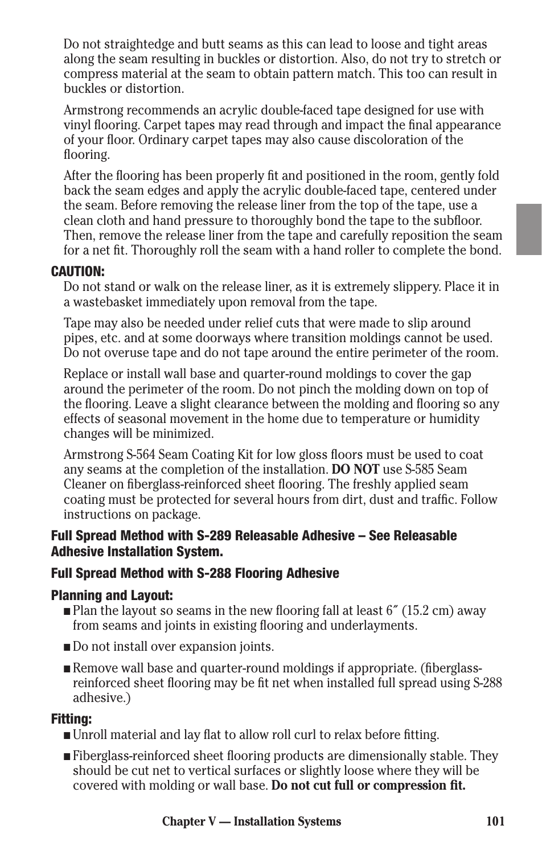Do not straightedge and butt seams as this can lead to loose and tight areas along the seam resulting in buckles or distortion. Also, do not try to stretch or compress material at the seam to obtain pattern match. This too can result in buckles or distortion.

Armstrong recommends an acrylic double-faced tape designed for use with vinyl flooring. Carpet tapes may read through and impact the final appearance of your floor. Ordinary carpet tapes may also cause discoloration of the flooring.

After the flooring has been properly fit and positioned in the room, gently fold back the seam edges and apply the acrylic double-faced tape, centered under the seam. Before removing the release liner from the top of the tape, use a clean cloth and hand pressure to thoroughly bond the tape to the subfloor. Then, remove the release liner from the tape and carefully reposition the seam for a net fit. Thoroughly roll the seam with a hand roller to complete the bond.

### CAUTION:

Do not stand or walk on the release liner, as it is extremely slippery. Place it in a wastebasket immediately upon removal from the tape.

Tape may also be needed under relief cuts that were made to slip around pipes, etc. and at some doorways where transition moldings cannot be used. Do not overuse tape and do not tape around the entire perimeter of the room.

Replace or install wall base and quarter-round moldings to cover the gap around the perimeter of the room. Do not pinch the molding down on top of the flooring. Leave a slight clearance between the molding and flooring so any effects of seasonal movement in the home due to temperature or humidity changes will be minimized.

Armstrong S-564 Seam Coating Kit for low gloss floors must be used to coat any seams at the completion of the installation. **DO NOT** use S-585 Seam Cleaner on fiberglass-reinforced sheet flooring. The freshly applied seam coating must be protected for several hours from dirt, dust and traffic. Follow instructions on package.

### Full Spread Method with S-289 Releasable Adhesive – See Releasable Adhesive Installation System.

### Full Spread Method with S-288 Flooring Adhesive

#### Planning and Layout:

- $\blacksquare$  Plan the layout so seams in the new flooring fall at least 6" (15.2 cm) away from seams and joints in existing flooring and underlayments.
- Do not install over expansion joints.
- n Remove wall base and quarter-round moldings if appropriate. (fiberglassreinforced sheet flooring may be fit net when installed full spread using S-288 adhesive.)

#### Fitting:

- n Unroll material and lay flat to allow roll curl to relax before fitting.
- n Fiberglass-reinforced sheet flooring products are dimensionally stable. They should be cut net to vertical surfaces or slightly loose where they will be covered with molding or wall base. **Do not cut full or compression fit.**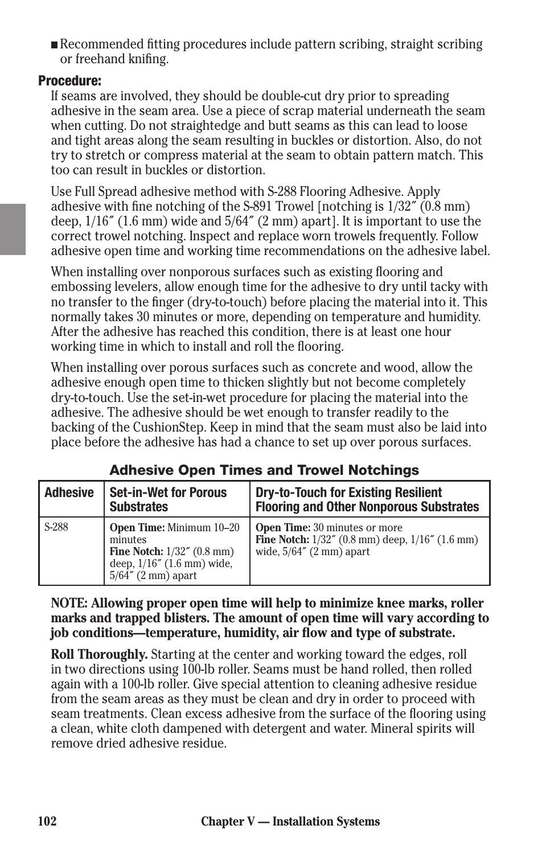n Recommended fitting procedures include pattern scribing, straight scribing or freehand knifing.

### Procedure:

If seams are involved, they should be double-cut dry prior to spreading adhesive in the seam area. Use a piece of scrap material underneath the seam when cutting. Do not straightedge and butt seams as this can lead to loose and tight areas along the seam resulting in buckles or distortion. Also, do not try to stretch or compress material at the seam to obtain pattern match. This too can result in buckles or distortion.

Use Full Spread adhesive method with S-288 Flooring Adhesive. Apply adhesive with fine notching of the S-891 Trowel [notching is 1/32˝ (0.8 mm) deep, 1/16˝ (1.6 mm) wide and 5/64˝ (2 mm) apart]. It is important to use the correct trowel notching. Inspect and replace worn trowels frequently. Follow adhesive open time and working time recommendations on the adhesive label.

When installing over nonporous surfaces such as existing flooring and embossing levelers, allow enough time for the adhesive to dry until tacky with no transfer to the finger (dry-to-touch) before placing the material into it. This normally takes 30 minutes or more, depending on temperature and humidity. After the adhesive has reached this condition, there is at least one hour working time in which to install and roll the flooring.

When installing over porous surfaces such as concrete and wood, allow the adhesive enough open time to thicken slightly but not become completely dry-to-touch. Use the set-in-wet procedure for placing the material into the adhesive. The adhesive should be wet enough to transfer readily to the backing of the CushionStep. Keep in mind that the seam must also be laid into place before the adhesive has had a chance to set up over porous surfaces.

| <b>Adhesive</b> | <b>Set-in-Wet for Porous</b><br><b>Substrates</b>                                                                                  | <b>Dry-to-Touch for Existing Resilient</b><br><b>Flooring and Other Nonporous Substrates</b>                                        |
|-----------------|------------------------------------------------------------------------------------------------------------------------------------|-------------------------------------------------------------------------------------------------------------------------------------|
| S-288           | <b>Open Time:</b> Minimum 10-20<br>minutes<br>Fine Notch: $1/32''$ (0.8 mm)<br>deep, 1/16" (1.6 mm) wide,<br>$5/64''$ (2 mm) apart | <b>Open Time:</b> 30 minutes or more<br><b>Fine Notch:</b> $1/32''$ (0.8 mm) deep, $1/16''$ (1.6 mm)<br>wide, $5/64''$ (2 mm) apart |

## Adhesive Open Times and Trowel Notchings

**NOTE: Allowing proper open time will help to minimize knee marks, roller marks and trapped blisters. The amount of open time will vary according to job conditions—temperature, humidity, air flow and type of substrate.**

**Roll Thoroughly.** Starting at the center and working toward the edges, roll in two directions using 100-lb roller. Seams must be hand rolled, then rolled again with a 100-lb roller. Give special attention to cleaning adhesive residue from the seam areas as they must be clean and dry in order to proceed with seam treatments. Clean excess adhesive from the surface of the flooring using a clean, white cloth dampened with detergent and water. Mineral spirits will remove dried adhesive residue.